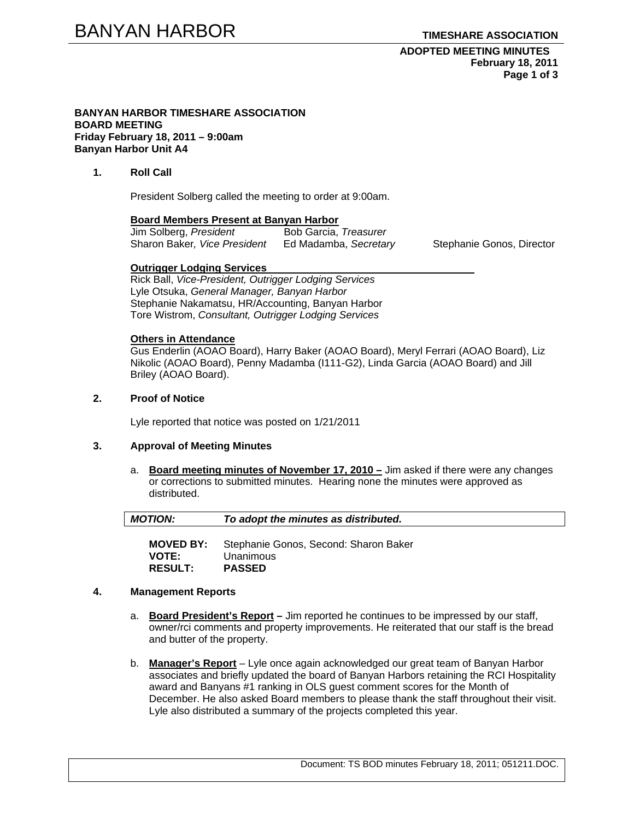#### **ADOPTED MEETING MINUTES February 18, 2011 Page 1 of 3**

#### **BANYAN HARBOR TIMESHARE ASSOCIATION BOARD MEETING Friday February 18, 2011 – 9:00am Banyan Harbor Unit A4**

# **1. Roll Call**

President Solberg called the meeting to order at 9:00am.

#### **Board Members Present at Banyan Harbor**

| Jim Solberg, President       | Bob Garcia, Treasurer |
|------------------------------|-----------------------|
| Sharon Baker, Vice President | Ed Madamba, Secretary |

Stephanie Gonos, Director

#### **Outrigger Lodging Services**

Rick Ball, *Vice-President, Outrigger Lodging Services* Lyle Otsuka, *General Manager, Banyan Harbor*  Stephanie Nakamatsu, HR/Accounting, Banyan Harbor Tore Wistrom, *Consultant, Outrigger Lodging Services* 

### **Others in Attendance**

Gus Enderlin (AOAO Board), Harry Baker (AOAO Board), Meryl Ferrari (AOAO Board), Liz Nikolic (AOAO Board), Penny Madamba (I111-G2), Linda Garcia (AOAO Board) and Jill Briley (AOAO Board).

# **2. Proof of Notice**

Lyle reported that notice was posted on 1/21/2011

#### **3. Approval of Meeting Minutes**

a. **Board meeting minutes of November 17, 2010 –** Jim asked if there were any changes or corrections to submitted minutes. Hearing none the minutes were approved as distributed.

| $\vert$ MOTION: | To adopt the minutes as distributed. |  |
|-----------------|--------------------------------------|--|
|                 |                                      |  |

**MOVED BY:** Stephanie Gonos, Second: Sharon Baker **VOTE:** Unanimous **RESULT: PASSED** 

#### **4. Management Reports**

- a. **Board President's Report** Jim reported he continues to be impressed by our staff, owner/rci comments and property improvements. He reiterated that our staff is the bread and butter of the property.
- b. **Manager's Report** Lyle once again acknowledged our great team of Banyan Harbor associates and briefly updated the board of Banyan Harbors retaining the RCI Hospitality award and Banyans #1 ranking in OLS guest comment scores for the Month of December. He also asked Board members to please thank the staff throughout their visit. Lyle also distributed a summary of the projects completed this year.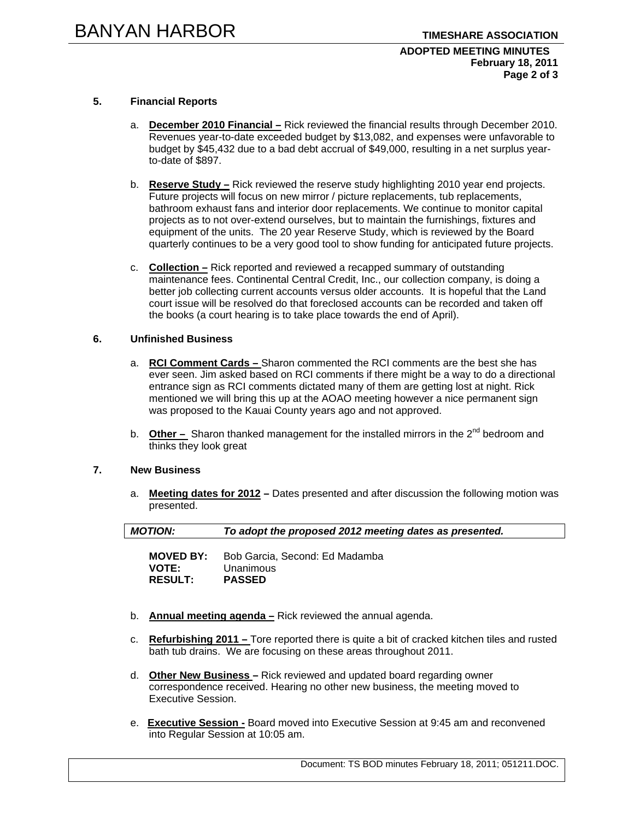## **ADOPTED MEETING MINUTES February 18, 2011 Page 2 of 3**

## **5. Financial Reports**

- a. **December 2010 Financial –** Rick reviewed the financial results through December 2010. Revenues year-to-date exceeded budget by \$13,082, and expenses were unfavorable to budget by \$45,432 due to a bad debt accrual of \$49,000, resulting in a net surplus yearto-date of \$897.
- b. **Reserve Study –** Rick reviewed the reserve study highlighting 2010 year end projects. Future projects will focus on new mirror / picture replacements, tub replacements, bathroom exhaust fans and interior door replacements. We continue to monitor capital projects as to not over-extend ourselves, but to maintain the furnishings, fixtures and equipment of the units. The 20 year Reserve Study, which is reviewed by the Board quarterly continues to be a very good tool to show funding for anticipated future projects.
- c. **Collection –** Rick reported and reviewed a recapped summary of outstanding maintenance fees. Continental Central Credit, Inc., our collection company, is doing a better job collecting current accounts versus older accounts. It is hopeful that the Land court issue will be resolved do that foreclosed accounts can be recorded and taken off the books (a court hearing is to take place towards the end of April).

## **6. Unfinished Business**

- a. **RCI Comment Cards** Sharon commented the RCI comments are the best she has ever seen. Jim asked based on RCI comments if there might be a way to do a directional entrance sign as RCI comments dictated many of them are getting lost at night. Rick mentioned we will bring this up at the AOAO meeting however a nice permanent sign was proposed to the Kauai County years ago and not approved.
- b. **Other –** Sharon thanked management for the installed mirrors in the 2<sup>nd</sup> bedroom and thinks they look great

#### **7. New Business**

a. **Meeting dates for 2012 –** Dates presented and after discussion the following motion was presented.

| <b>MOTION:</b>   | To adopt the proposed 2012 meeting dates as presented. |  |
|------------------|--------------------------------------------------------|--|
| <b>MOVED BY:</b> | Bob Garcia, Second: Ed Madamba                         |  |
| <b>VOTE:</b>     | Unanimous                                              |  |
| <b>RESULT:</b>   | <b>PASSED</b>                                          |  |

- b. **Annual meeting agenda –** Rick reviewed the annual agenda.
- c. **Refurbishing 2011** Tore reported there is quite a bit of cracked kitchen tiles and rusted bath tub drains. We are focusing on these areas throughout 2011.
- d. **Other New Business** Rick reviewed and updated board regarding owner correspondence received. Hearing no other new business, the meeting moved to Executive Session.
- e. **Executive Session -** Board moved into Executive Session at 9:45 am and reconvened into Regular Session at 10:05 am.

Document: TS BOD minutes February 18, 2011; 051211.DOC.